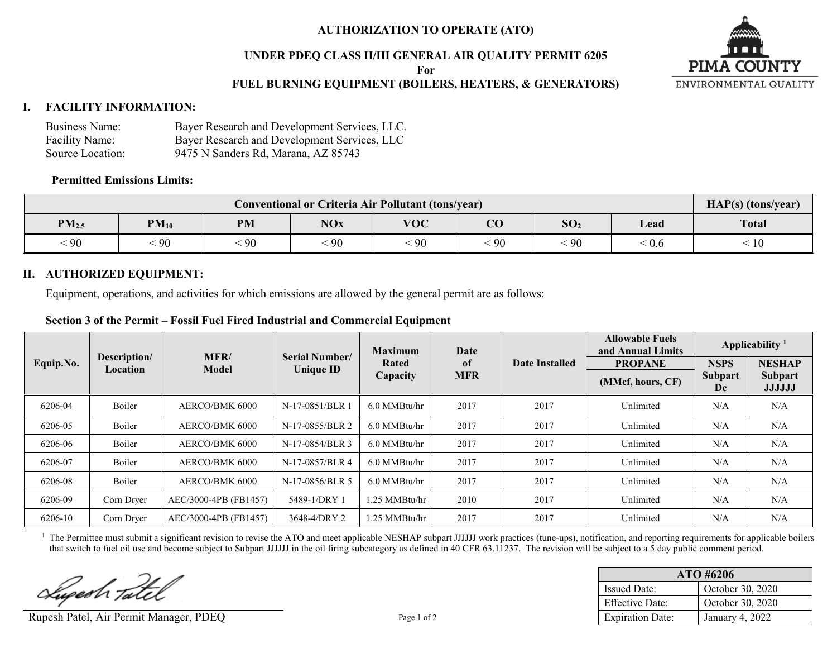# **AUTHORIZATION TO OPERATE (ATO)**

### **UNDER PDEQ CLASS II/III GENERAL AIR QUALITY PERMIT 6205**

**For**

# **FUEL BURNING EQUIPMENT (BOILERS, HEATERS, & GENERATORS)**



#### **I. FACILITY INFORMATION:**

| Business Name:   | Bayer Research and Development Services, LLC. |
|------------------|-----------------------------------------------|
| Facility Name:   | Bayer Research and Development Services, LLC  |
| Source Location: | 9475 N Sanders Rd, Marana, AZ 85743           |

#### **Permitted Emissions Limits:**

| Conventional or Criteria Air Pollutant (tons/year) |                                                                                                 |            |    |    |    |              |                                       | HAP(s) (tons/year) |
|----------------------------------------------------|-------------------------------------------------------------------------------------------------|------------|----|----|----|--------------|---------------------------------------|--------------------|
| PM <sub>2.5</sub>                                  | <b>VOC</b><br>$\Omega$<br>SO <sub>2</sub><br><b>NOx</b><br><b>PM</b><br>$PM_{10}$<br>Lead<br>UU |            |    |    |    | <b>Total</b> |                                       |                    |
| < 90                                               | $\cdot$ 90                                                                                      | $\cdot$ 90 | 90 | 90 | 90 | $\cdot$ 90   | $\stackrel{<}{\scriptstyle \sim} 0.6$ | 10                 |

### **II. AUTHORIZED EQUIPMENT:**

Equipment, operations, and activities for which emissions are allowed by the general permit are as follows:

### **Section 3 of the Permit – Fossil Fuel Fired Industrial and Commercial Equipment**

|           |                          | <b>MFR</b><br>Model   | <b>Serial Number/</b><br><b>Unique ID</b> | <b>Maximum</b> | Date          | Date Installed | <b>Allowable Fuels</b><br>and Annual Limits | Applicability $1$ |                                 |
|-----------|--------------------------|-----------------------|-------------------------------------------|----------------|---------------|----------------|---------------------------------------------|-------------------|---------------------------------|
| Equip.No. | Description/<br>Location |                       |                                           | Rated          | <sub>of</sub> |                | <b>PROPANE</b>                              | <b>NSPS</b>       | <b>NESHAP</b>                   |
|           |                          |                       |                                           | Capacity       | <b>MFR</b>    |                | (MMcf, hours, CF)                           | Subpart<br>Dc     | <b>Subpart</b><br><b>JJJJJJ</b> |
| 6206-04   | Boiler                   | AERCO/BMK 6000        | N-17-0851/BLR 1                           | $6.0$ MMBtu/hr | 2017          | 2017           | Unlimited                                   | N/A               | N/A                             |
| 6206-05   | Boiler                   | AERCO/BMK 6000        | N-17-0855/BLR 2                           | 6.0 MMBtu/hr   | 2017          | 2017           | Unlimited                                   | N/A               | N/A                             |
| 6206-06   | Boiler                   | AERCO/BMK 6000        | N-17-0854/BLR 3                           | $6.0$ MMBtu/hr | 2017          | 2017           | Unlimited                                   | N/A               | N/A                             |
| 6206-07   | Boiler                   | AERCO/BMK 6000        | N-17-0857/BLR 4                           | 6.0 MMBtu/hr   | 2017          | 2017           | Unlimited                                   | N/A               | N/A                             |
| 6206-08   | Boiler                   | AERCO/BMK 6000        | N-17-0856/BLR 5                           | 6.0 MMBtu/hr   | 2017          | 2017           | Unlimited                                   | N/A               | N/A                             |
| 6206-09   | Corn Dryer               | AEC/3000-4PB (FB1457) | 5489-1/DRY 1                              | 1.25 MMBtu/hr  | 2010          | 2017           | Unlimited                                   | N/A               | N/A                             |
| 6206-10   | Corn Dryer               | AEC/3000-4PB (FB1457) | 3648-4/DRY 2                              | 1.25 MMBtu/hr  | 2017          | 2017           | Unlimited                                   | N/A               | N/A                             |

<sup>1</sup> The Permittee must submit a significant revision to revise the ATO and meet applicable NESHAP subpart JJJJJJ work practices (tune-ups), notification, and reporting requirements for applicable boilers that switch to fuel oil use and become subject to Subpart JJJJJJ in the oil firing subcategory as defined in 40 CFR 63.11237. The revision will be subject to a 5 day public comment period.

Lupesh Tatel

Rupesh Patel, Air Permit Manager, PDEQ Page 1 of 2

| $ATO$ #6206             |                  |  |  |  |
|-------------------------|------------------|--|--|--|
| <b>Issued Date:</b>     | October 30, 2020 |  |  |  |
| <b>Effective Date:</b>  | October 30, 2020 |  |  |  |
| <b>Expiration Date:</b> | January 4, 2022  |  |  |  |